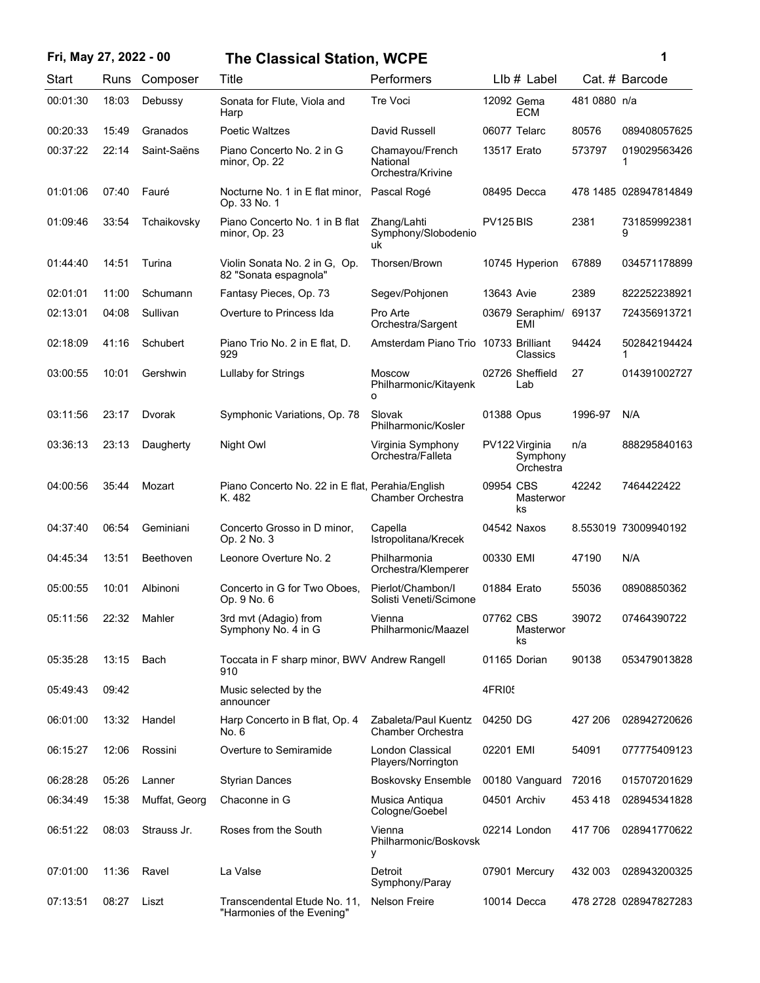## **Fri, May 27, 2022 - 00 1 The Classical Station, WCPE**

| ï<br>I |  |  |
|--------|--|--|
|        |  |  |

| Start    | Runs  | Composer      | Title                                                      | Performers                                       | $Llb#$ Label                            |              | Cat. # Barcode        |
|----------|-------|---------------|------------------------------------------------------------|--------------------------------------------------|-----------------------------------------|--------------|-----------------------|
| 00:01:30 | 18:03 | Debussy       | Sonata for Flute, Viola and<br>Harp                        | <b>Tre Voci</b>                                  | 12092 Gema<br><b>ECM</b>                | 481 0880 n/a |                       |
| 00:20:33 | 15:49 | Granados      | <b>Poetic Waltzes</b>                                      | David Russell                                    | 06077 Telarc                            | 80576        | 089408057625          |
| 00:37:22 | 22:14 | Saint-Saëns   | Piano Concerto No. 2 in G<br>minor, Op. 22                 | Chamayou/French<br>National<br>Orchestra/Krivine | 13517 Erato                             | 573797       | 019029563426<br>1     |
| 01:01:06 | 07:40 | Fauré         | Nocturne No. 1 in E flat minor,<br>Op. 33 No. 1            | Pascal Rogé                                      | 08495 Decca                             |              | 478 1485 028947814849 |
| 01:09:46 | 33:54 | Tchaikovsky   | Piano Concerto No. 1 in B flat<br>minor, Op. 23            | Zhang/Lahti<br>Symphony/Slobodenio<br>uk         | PV125 BIS                               | 2381         | 731859992381<br>9     |
| 01:44:40 | 14:51 | Turina        | Violin Sonata No. 2 in G. Op.<br>82 "Sonata espagnola"     | Thorsen/Brown                                    | 10745 Hyperion                          | 67889        | 034571178899          |
| 02:01:01 | 11:00 | Schumann      | Fantasy Pieces, Op. 73                                     | Segev/Pohjonen                                   | 13643 Avie                              | 2389         | 822252238921          |
| 02:13:01 | 04:08 | Sullivan      | Overture to Princess Ida                                   | Pro Arte<br>Orchestra/Sargent                    | 03679 Seraphim/<br>EMI                  | 69137        | 724356913721          |
| 02:18:09 | 41:16 | Schubert      | Piano Trio No. 2 in E flat, D.<br>929                      | Amsterdam Piano Trio                             | 10733 Brilliant<br>Classics             | 94424        | 502842194424<br>1     |
| 03:00:55 | 10:01 | Gershwin      | Lullaby for Strings                                        | <b>Moscow</b><br>Philharmonic/Kitayenk<br>o      | 02726 Sheffield<br>Lab                  | 27           | 014391002727          |
| 03:11:56 | 23:17 | Dvorak        | Symphonic Variations, Op. 78                               | Slovak<br>Philharmonic/Kosler                    | 01388 Opus                              | 1996-97      | N/A                   |
| 03:36:13 | 23:13 | Daugherty     | Night Owl                                                  | Virginia Symphony<br>Orchestra/Falleta           | PV122 Virginia<br>Symphony<br>Orchestra | n/a          | 888295840163          |
| 04:00:56 | 35:44 | Mozart        | Piano Concerto No. 22 in E flat, Perahia/English<br>K. 482 | Chamber Orchestra                                | 09954 CBS<br>Masterwor<br>ks            | 42242        | 7464422422            |
| 04:37:40 | 06:54 | Geminiani     | Concerto Grosso in D minor,<br>Op. 2 No. 3                 | Capella<br>Istropolitana/Krecek                  | 04542 Naxos                             |              | 8.553019 73009940192  |
| 04:45:34 | 13:51 | Beethoven     | Leonore Overture No. 2                                     | Philharmonia<br>Orchestra/Klemperer              | 00330 EMI                               | 47190        | N/A                   |
| 05:00:55 | 10:01 | Albinoni      | Concerto in G for Two Oboes,<br>Op. 9 No. 6                | Pierlot/Chambon/I<br>Solisti Veneti/Scimone      | 01884 Erato                             | 55036        | 08908850362           |
| 05:11:56 | 22:32 | Mahler        | 3rd mvt (Adagio) from<br>Symphony No. 4 in G               | Vienna<br>Philharmonic/Maazel                    | 07762 CBS<br>Masterwor<br>ks            | 39072        | 07464390722           |
| 05:35:28 | 13:15 | Bach          | Toccata in F sharp minor, BWV Andrew Rangell<br>910        |                                                  | 01165 Dorian                            | 90138        | 053479013828          |
| 05:49:43 | 09:42 |               | Music selected by the<br>announcer                         |                                                  | 4FRI05                                  |              |                       |
| 06:01:00 | 13:32 | Handel        | Harp Concerto in B flat, Op. 4<br>No. 6                    | Zabaleta/Paul Kuentz<br>Chamber Orchestra        | 04250 DG                                | 427 206      | 028942720626          |
| 06:15:27 | 12:06 | Rossini       | Overture to Semiramide                                     | London Classical<br>Players/Norrington           | 02201 EMI                               | 54091        | 077775409123          |
| 06:28:28 | 05:26 | Lanner        | <b>Styrian Dances</b>                                      | <b>Boskovsky Ensemble</b>                        | 00180 Vanguard                          | 72016        | 015707201629          |
| 06:34:49 | 15:38 | Muffat, Georg | Chaconne in G                                              | Musica Antiqua<br>Cologne/Goebel                 | 04501 Archiv                            | 453 418      | 028945341828          |
| 06:51:22 | 08:03 | Strauss Jr.   | Roses from the South                                       | Vienna<br>Philharmonic/Boskovsk<br>у             | 02214 London                            | 417 706      | 028941770622          |
| 07:01:00 | 11:36 | Ravel         | La Valse                                                   | Detroit<br>Symphony/Paray                        | 07901 Mercury                           | 432 003      | 028943200325          |
| 07:13:51 | 08:27 | Liszt         | Transcendental Etude No. 11,<br>"Harmonies of the Evening" | <b>Nelson Freire</b>                             | 10014 Decca                             |              | 478 2728 028947827283 |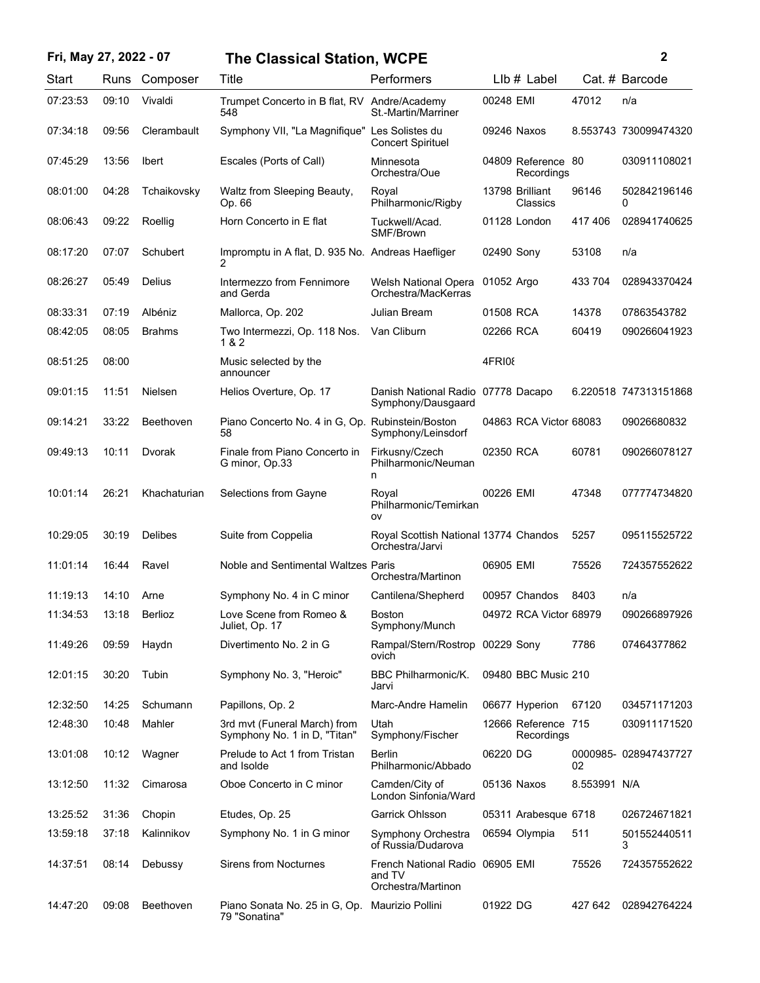| Fri, May 27, 2022 - 07 |       |                | <b>The Classical Station, WCPE</b>                              |                                                                 |             |                                   |              | 2                     |
|------------------------|-------|----------------|-----------------------------------------------------------------|-----------------------------------------------------------------|-------------|-----------------------------------|--------------|-----------------------|
| Start                  |       | Runs Composer  | Title                                                           | Performers                                                      |             | $Llb#$ Label                      |              | Cat. # Barcode        |
| 07:23:53               | 09:10 | Vivaldi        | Trumpet Concerto in B flat, RV Andre/Academy<br>548             | St.-Martin/Marriner                                             | 00248 EMI   |                                   | 47012        | n/a                   |
| 07:34:18               | 09:56 | Clerambault    | Symphony VII, "La Magnifique" Les Solistes du                   | <b>Concert Spirituel</b>                                        | 09246 Naxos |                                   |              | 8.553743 730099474320 |
| 07:45:29               | 13:56 | <b>Ibert</b>   | Escales (Ports of Call)                                         | Minnesota<br>Orchestra/Oue                                      |             | 04809 Reference 80<br>Recordings  |              | 030911108021          |
| 08:01:00               | 04:28 | Tchaikovsky    | Waltz from Sleeping Beauty,<br>Op. 66                           | Royal<br>Philharmonic/Rigby                                     |             | 13798 Brilliant<br>Classics       | 96146        | 502842196146<br>0     |
| 08:06:43               | 09:22 | Roellig        | Horn Concerto in E flat                                         | Tuckwell/Acad.<br>SMF/Brown                                     |             | 01128 London                      | 417406       | 028941740625          |
| 08:17:20               | 07:07 | Schubert       | Impromptu in A flat, D. 935 No. Andreas Haefliger<br>2          |                                                                 | 02490 Sony  |                                   | 53108        | n/a                   |
| 08:26:27               | 05:49 | Delius         | Intermezzo from Fennimore<br>and Gerda                          | Welsh National Opera<br>Orchestra/MacKerras                     | 01052 Argo  |                                   | 433 704      | 028943370424          |
| 08:33:31               | 07:19 | Albéniz        | Mallorca, Op. 202                                               | Julian Bream                                                    | 01508 RCA   |                                   | 14378        | 07863543782           |
| 08:42:05               | 08:05 | <b>Brahms</b>  | Two Intermezzi, Op. 118 Nos.<br>1 & 2                           | Van Cliburn                                                     | 02266 RCA   |                                   | 60419        | 090266041923          |
| 08:51:25               | 08:00 |                | Music selected by the<br>announcer                              |                                                                 | 4FRI08      |                                   |              |                       |
| 09:01:15               | 11:51 | Nielsen        | Helios Overture, Op. 17                                         | Danish National Radio 07778 Dacapo<br>Symphony/Dausgaard        |             |                                   |              | 6.220518 747313151868 |
| 09:14:21               | 33:22 | Beethoven      | Piano Concerto No. 4 in G, Op. Rubinstein/Boston<br>58          | Symphony/Leinsdorf                                              |             | 04863 RCA Victor 68083            |              | 09026680832           |
| 09:49:13               | 10:11 | Dvorak         | Finale from Piano Concerto in<br>G minor, Op.33                 | Firkusny/Czech<br>Philharmonic/Neuman<br>n                      | 02350 RCA   |                                   | 60781        | 090266078127          |
| 10:01:14               | 26:21 | Khachaturian   | Selections from Gayne                                           | Royal<br>Philharmonic/Temirkan<br>OV                            | 00226 EMI   |                                   | 47348        | 077774734820          |
| 10:29:05               | 30:19 | <b>Delibes</b> | Suite from Coppelia                                             | Royal Scottish National 13774 Chandos<br>Orchestra/Jarvi        |             |                                   | 5257         | 095115525722          |
| 11:01:14               | 16:44 | Ravel          | Noble and Sentimental Waltzes Paris                             | Orchestra/Martinon                                              | 06905 EMI   |                                   | 75526        | 724357552622          |
| 11:19:13               | 14:10 | Arne           | Symphony No. 4 in C minor                                       | Cantilena/Shepherd                                              |             | 00957 Chandos                     | 8403         | n/a                   |
| 11:34:53               | 13:18 | Berlioz        | Love Scene from Romeo &<br>Juliet, Op. 17                       | <b>Boston</b><br>Symphony/Munch                                 |             | 04972 RCA Victor 68979            |              | 090266897926          |
| 11:49:26               | 09:59 | Haydn          | Divertimento No. 2 in G                                         | Rampal/Stern/Rostrop 00229 Sony<br>ovich                        |             |                                   | 7786         | 07464377862           |
| 12:01:15               | 30:20 | Tubin          | Symphony No. 3, "Heroic"                                        | <b>BBC Philharmonic/K.</b><br>Jarvi                             |             | 09480 BBC Music 210               |              |                       |
| 12:32:50               | 14:25 | Schumann       | Papillons, Op. 2                                                | Marc-Andre Hamelin                                              |             | 06677 Hyperion                    | 67120        | 034571171203          |
| 12:48:30               | 10:48 | Mahler         | 3rd mvt (Funeral March) from<br>Symphony No. 1 in D, "Titan"    | Utah<br>Symphony/Fischer                                        |             | 12666 Reference 715<br>Recordings |              | 030911171520          |
| 13:01:08               | 10:12 | Wagner         | Prelude to Act 1 from Tristan<br>and Isolde                     | <b>Berlin</b><br>Philharmonic/Abbado                            | 06220 DG    |                                   | 02           | 0000985-028947437727  |
| 13:12:50               | 11:32 | Cimarosa       | Oboe Concerto in C minor                                        | Camden/City of<br>London Sinfonia/Ward                          |             | 05136 Naxos                       | 8.553991 N/A |                       |
| 13:25:52               | 31:36 | Chopin         | Etudes, Op. 25                                                  | Garrick Ohlsson                                                 |             | 05311 Arabesque 6718              |              | 026724671821          |
| 13:59:18               | 37:18 | Kalinnikov     | Symphony No. 1 in G minor                                       | Symphony Orchestra<br>of Russia/Dudarova                        |             | 06594 Olympia                     | 511          | 501552440511<br>3     |
| 14:37:51               | 08:14 | Debussy        | <b>Sirens from Nocturnes</b>                                    | French National Radio 06905 EMI<br>and TV<br>Orchestra/Martinon |             |                                   | 75526        | 724357552622          |
| 14:47:20               | 09:08 | Beethoven      | Piano Sonata No. 25 in G, Op. Maurizio Pollini<br>79 "Sonatina" |                                                                 | 01922 DG    |                                   | 427 642      | 028942764224          |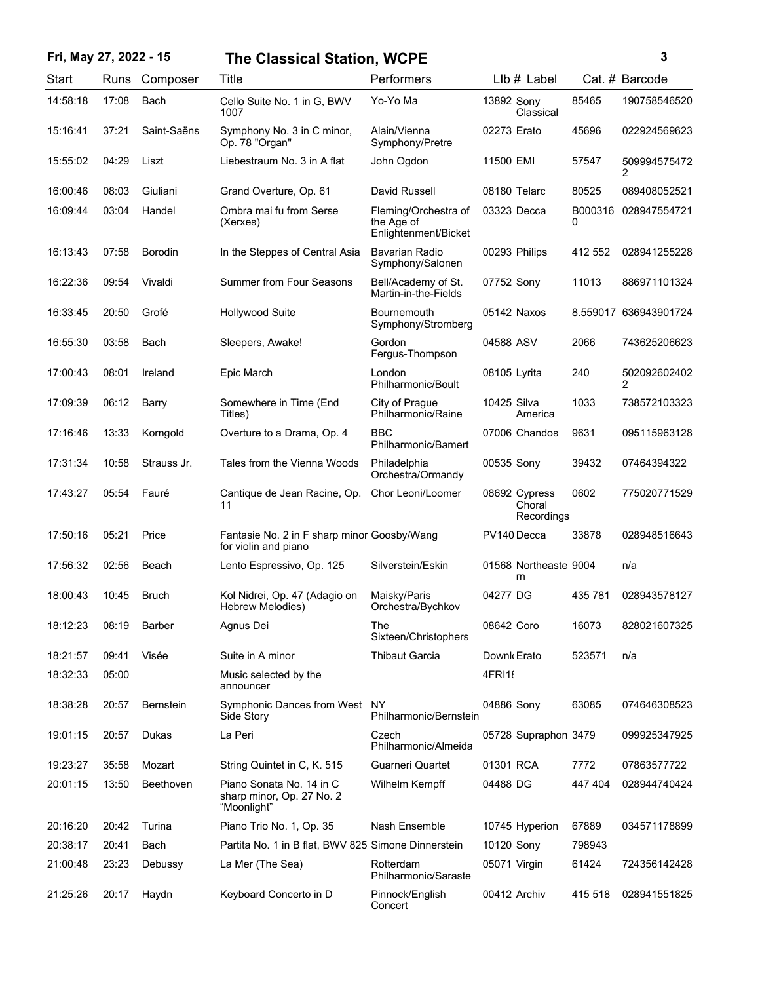## **Fri, May 27, 2022 - 15 3 The Classical Station, WCPE**

| Start    | Runs  | Composer         | Title                                                                | Performers                                                 | LIb # Label                           |         | Cat. # Barcode                 |
|----------|-------|------------------|----------------------------------------------------------------------|------------------------------------------------------------|---------------------------------------|---------|--------------------------------|
| 14:58:18 | 17:08 | Bach             | Cello Suite No. 1 in G, BWV<br>1007                                  | Yo-Yo Ma                                                   | 13892 Sony<br>Classical               | 85465   | 190758546520                   |
| 15:16:41 | 37:21 | Saint-Saëns      | Symphony No. 3 in C minor,<br>Op. 78 "Organ"                         | Alain/Vienna<br>Symphony/Pretre                            | 02273 Erato                           | 45696   | 022924569623                   |
| 15:55:02 | 04:29 | Liszt            | Liebestraum No. 3 in A flat                                          | John Ogdon                                                 | 11500 EMI                             | 57547   | 509994575472<br>2              |
| 16:00:46 | 08:03 | Giuliani         | Grand Overture, Op. 61                                               | David Russell                                              | 08180 Telarc                          | 80525   | 089408052521                   |
| 16:09:44 | 03:04 | Handel           | Ombra mai fu from Serse<br>(Xerxes)                                  | Fleming/Orchestra of<br>the Age of<br>Enlightenment/Bicket | 03323 Decca                           | 0       | B000316 028947554721           |
| 16:13:43 | 07:58 | <b>Borodin</b>   | In the Steppes of Central Asia                                       | Bavarian Radio<br>Symphony/Salonen                         | 00293 Philips                         | 412 552 | 028941255228                   |
| 16:22:36 | 09:54 | Vivaldi          | <b>Summer from Four Seasons</b>                                      | Bell/Academy of St.<br>Martin-in-the-Fields                | 07752 Sony                            | 11013   | 886971101324                   |
| 16:33:45 | 20:50 | Grofé            | <b>Hollywood Suite</b>                                               | <b>Bournemouth</b><br>Symphony/Stromberg                   | 05142 Naxos                           |         | 8.559017 636943901724          |
| 16:55:30 | 03:58 | Bach             | Sleepers, Awake!                                                     | Gordon<br>Fergus-Thompson                                  | 04588 ASV                             | 2066    | 743625206623                   |
| 17:00:43 | 08:01 | Ireland          | Epic March                                                           | London<br>Philharmonic/Boult                               | 08105 Lyrita                          | 240     | 502092602402<br>$\overline{2}$ |
| 17:09:39 | 06:12 | Barry            | Somewhere in Time (End<br>Titles)                                    | City of Prague<br>Philharmonic/Raine                       | 10425 Silva<br>America                | 1033    | 738572103323                   |
| 17:16:46 | 13:33 | Korngold         | Overture to a Drama, Op. 4                                           | <b>BBC</b><br>Philharmonic/Bamert                          | 07006 Chandos                         | 9631    | 095115963128                   |
| 17:31:34 | 10:58 | Strauss Jr.      | Tales from the Vienna Woods                                          | Philadelphia<br>Orchestra/Ormandy                          | 00535 Sony                            | 39432   | 07464394322                    |
| 17:43:27 | 05:54 | Fauré            | Cantique de Jean Racine, Op.<br>11                                   | Chor Leoni/Loomer                                          | 08692 Cypress<br>Choral<br>Recordings | 0602    | 775020771529                   |
| 17:50:16 | 05:21 | Price            | Fantasie No. 2 in F sharp minor Goosby/Wang<br>for violin and piano  |                                                            | PV140 Decca                           | 33878   | 028948516643                   |
| 17:56:32 | 02:56 | Beach            | Lento Espressivo, Op. 125                                            | Silverstein/Eskin                                          | 01568 Northeaste 9004<br>rn           |         | n/a                            |
| 18:00:43 | 10:45 | <b>Bruch</b>     | Kol Nidrei, Op. 47 (Adagio on<br>Hebrew Melodies)                    | Maisky/Paris<br>Orchestra/Bychkov                          | 04277 DG                              | 435 781 | 028943578127                   |
| 18:12:23 | 08:19 | Barber           | Agnus Dei                                                            | The<br>Sixteen/Christophers                                | 08642 Coro                            | 16073   | 828021607325                   |
| 18:21:57 | 09:41 | Visée            | Suite in A minor                                                     | <b>Thibaut Garcia</b>                                      | Downk Erato                           | 523571  | n/a                            |
| 18:32:33 | 05:00 |                  | Music selected by the<br>announcer                                   |                                                            | 4FRI18                                |         |                                |
| 18:38:28 | 20:57 | <b>Bernstein</b> | Symphonic Dances from West<br>Side Story                             | NY.<br>Philharmonic/Bernstein                              | 04886 Sony                            | 63085   | 074646308523                   |
| 19:01:15 | 20:57 | Dukas            | La Peri                                                              | Czech<br>Philharmonic/Almeida                              | 05728 Supraphon 3479                  |         | 099925347925                   |
| 19:23:27 | 35:58 | Mozart           | String Quintet in C, K, 515                                          | Guarneri Quartet                                           | 01301 RCA                             | 7772    | 07863577722                    |
| 20:01:15 | 13:50 | Beethoven        | Piano Sonata No. 14 in C<br>sharp minor, Op. 27 No. 2<br>"Moonlight" | Wilhelm Kempff                                             | 04488 DG                              | 447 404 | 028944740424                   |
| 20:16:20 | 20:42 | Turina           | Piano Trio No. 1, Op. 35                                             | Nash Ensemble                                              | 10745 Hyperion                        | 67889   | 034571178899                   |
| 20:38:17 | 20:41 | Bach             | Partita No. 1 in B flat, BWV 825 Simone Dinnerstein                  |                                                            | 10120 Sony                            | 798943  |                                |
| 21:00:48 | 23:23 | Debussy          | La Mer (The Sea)                                                     | Rotterdam<br>Philharmonic/Saraste                          | 05071 Virgin                          | 61424   | 724356142428                   |
| 21:25:26 | 20:17 | Haydn            | Keyboard Concerto in D                                               | Pinnock/English<br>Concert                                 | 00412 Archiv                          | 415 518 | 028941551825                   |